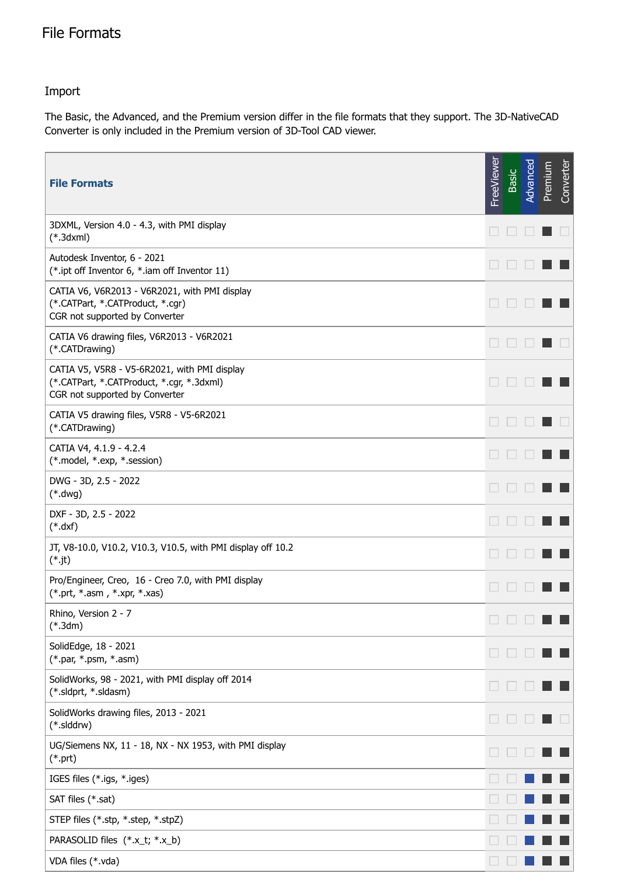## File Formats

## Import

The Basic, the Advanced, and the Premium version differ in the file formats that they support. The 3D-NativeCAD Converter is only included in the Premium version of 3D-Tool CAD viewer.

| <b>File Formats</b>                                                                                                         | FreeViewer | Basic | Advanced                                                                                                                                                                                                                                                                                                                                                                                               | Premium | Converter |
|-----------------------------------------------------------------------------------------------------------------------------|------------|-------|--------------------------------------------------------------------------------------------------------------------------------------------------------------------------------------------------------------------------------------------------------------------------------------------------------------------------------------------------------------------------------------------------------|---------|-----------|
| 3DXML, Version 4.0 - 4.3, with PMI display<br>$(*.3dxml)$                                                                   |            |       |                                                                                                                                                                                                                                                                                                                                                                                                        |         |           |
| Autodesk Inventor, 6 - 2021<br>(*.ipt off Inventor 6, *.iam off Inventor 11)                                                |            |       |                                                                                                                                                                                                                                                                                                                                                                                                        |         |           |
| CATIA V6, V6R2013 - V6R2021, with PMI display<br>(*.CATPart, *.CATProduct, *.cgr)<br>CGR not supported by Converter         |            |       |                                                                                                                                                                                                                                                                                                                                                                                                        |         |           |
| CATIA V6 drawing files, V6R2013 - V6R2021<br>(*.CATDrawing)                                                                 |            |       |                                                                                                                                                                                                                                                                                                                                                                                                        |         |           |
| CATIA V5, V5R8 - V5-6R2021, with PMI display<br>(*.CATPart, *.CATProduct, *.cgr, *.3dxml)<br>CGR not supported by Converter |            |       |                                                                                                                                                                                                                                                                                                                                                                                                        |         |           |
| CATIA V5 drawing files, V5R8 - V5-6R2021<br>(*.CATDrawing)                                                                  |            |       |                                                                                                                                                                                                                                                                                                                                                                                                        |         |           |
| CATIA V4, 4.1.9 - 4.2.4<br>(*.model, *.exp, *.session)                                                                      |            |       |                                                                                                                                                                                                                                                                                                                                                                                                        |         |           |
| DWG - 3D, 2.5 - 2022<br>$(*.$ dwg $)$                                                                                       |            |       |                                                                                                                                                                                                                                                                                                                                                                                                        |         |           |
| DXF - 3D, 2.5 - 2022<br>$(*.dxf)$                                                                                           |            |       |                                                                                                                                                                                                                                                                                                                                                                                                        |         |           |
| JT, V8-10.0, V10.2, V10.3, V10.5, with PMI display off 10.2<br>$(*.jt)$                                                     |            |       |                                                                                                                                                                                                                                                                                                                                                                                                        |         |           |
| Pro/Engineer, Creo, 16 - Creo 7.0, with PMI display<br>$(*.prt, *.asm, *.xpr, *.xas)$                                       |            |       |                                                                                                                                                                                                                                                                                                                                                                                                        |         |           |
| Rhino, Version 2 - 7<br>$(*.3dm)$                                                                                           |            |       | $\begin{array}{c c c c c c} \hline \rule{0pt}{16pt} \rule{0pt}{2pt} \rule{0pt}{2pt} \rule{0pt}{2pt} \rule{0pt}{2pt} \rule{0pt}{2pt} \rule{0pt}{2pt} \rule{0pt}{2pt} \rule{0pt}{2pt} \rule{0pt}{2pt} \rule{0pt}{2pt} \rule{0pt}{2pt} \rule{0pt}{2pt} \rule{0pt}{2pt} \rule{0pt}{2pt} \rule{0pt}{2pt} \rule{0pt}{2pt} \rule{0pt}{2pt} \rule{0pt}{2pt} \rule{0pt}{2pt} \rule{0pt}{2pt} \rule{0pt}{2pt} \$ |         |           |
| SolidEdge, 18 - 2021<br>$(*.par, *.psm, *.asm)$                                                                             |            |       |                                                                                                                                                                                                                                                                                                                                                                                                        |         |           |
| SolidWorks, 98 - 2021, with PMI display off 2014<br>(*.sldprt, *.sldasm)                                                    |            |       |                                                                                                                                                                                                                                                                                                                                                                                                        |         |           |
| SolidWorks drawing files, 2013 - 2021<br>$(*.$ slddrw $)$                                                                   |            |       |                                                                                                                                                                                                                                                                                                                                                                                                        |         |           |
| UG/Siemens NX, 11 - 18, NX - NX 1953, with PMI display<br>$(*.$ prt $)$                                                     |            |       |                                                                                                                                                                                                                                                                                                                                                                                                        |         |           |
| IGES files (*.igs, *.iges)                                                                                                  |            |       |                                                                                                                                                                                                                                                                                                                                                                                                        |         |           |
| SAT files (*.sat)                                                                                                           |            |       |                                                                                                                                                                                                                                                                                                                                                                                                        |         |           |
| STEP files (*.stp, *.step, *.stpZ)                                                                                          |            |       |                                                                                                                                                                                                                                                                                                                                                                                                        |         |           |
| PARASOLID files (*.x_t; *.x_b)                                                                                              |            |       |                                                                                                                                                                                                                                                                                                                                                                                                        |         |           |
| VDA files (*.vda)                                                                                                           |            |       |                                                                                                                                                                                                                                                                                                                                                                                                        |         |           |